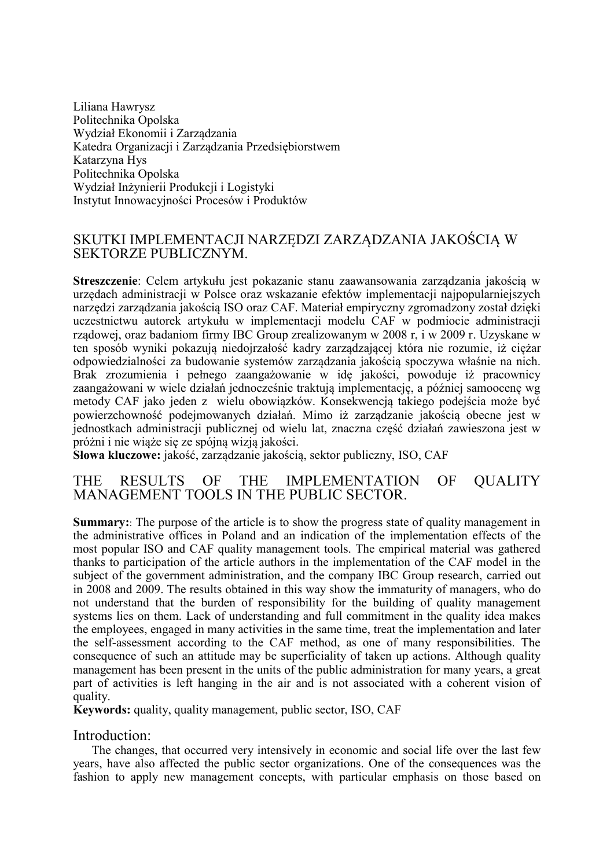Liliana Hawrysz Politechnika Opolska Wydział Ekonomii i Zarządzania Katedra Organizacji i Zarządzania Przedsiębiorstwem Katarzyna Hys Politechnika Opolska Wydział Inżynierii Produkcji i Logistyki Instytut Innowacyjności Procesów i Produktów

# SKUTKI IMPLEMENTACJI NARZĘDZI ZARZĄDZANIA JAKOŚCIĄ W SEKTORZE PUBLICZNYM.

**Streszczenie**: Celem artykułu jest pokazanie stanu zaawansowania zarządzania jakością w urzędach administracji w Polsce oraz wskazanie efektów implementacji najpopularniejszych narzędzi zarządzania jakością ISO oraz CAF. Materiał empiryczny zgromadzony został dzięki uczestnictwu autorek artykułu w implementacji modelu CAF w podmiocie administracji rządowej, oraz badaniom firmy IBC Group zrealizowanym w 2008 r, i w 2009 r. Uzyskane w ten sposób wyniki pokazują niedojrzałość kadry zarządzającej która nie rozumie, iż ciężar odpowiedzialności za budowanie systemów zarządzania jakością spoczywa właśnie na nich. Brak zrozumienia i pełnego zaangażowanie w idę jakości, powoduje iż pracownicy zaangażowani w wiele działań jednocześnie traktują implementację, a później samoocenę wg metody CAF jako jeden z wielu obowiązków. Konsekwencją takiego podejścia może być powierzchowność podejmowanych działań. Mimo iż zarządzanie jakością obecne jest w jednostkach administracji publicznej od wielu lat, znaczna część działań zawieszona jest w próżni i nie wiąże się ze spójną wizją jakości.

**Słowa kluczowe:** jakość, zarządzanie jakością, sektor publiczny, ISO, CAF

## THE RESULTS OF THE IMPLEMENTATION OF QUALITY MANAGEMENT TOOLS IN THE PUBLIC SECTOR.

**Summary:**: The purpose of the article is to show the progress state of quality management in the administrative offices in Poland and an indication of the implementation effects of the most popular ISO and CAF quality management tools. The empirical material was gathered thanks to participation of the article authors in the implementation of the CAF model in the subject of the government administration, and the company IBC Group research, carried out in 2008 and 2009. The results obtained in this way show the immaturity of managers, who do not understand that the burden of responsibility for the building of quality management systems lies on them. Lack of understanding and full commitment in the quality idea makes the employees, engaged in many activities in the same time, treat the implementation and later the self-assessment according to the CAF method, as one of many responsibilities. The consequence of such an attitude may be superficiality of taken up actions. Although quality management has been present in the units of the public administration for many years, a great part of activities is left hanging in the air and is not associated with a coherent vision of quality.

**Keywords:** quality, quality management, public sector, ISO, CAF

### Introduction:

The changes, that occurred very intensively in economic and social life over the last few years, have also affected the public sector organizations. One of the consequences was the fashion to apply new management concepts, with particular emphasis on those based on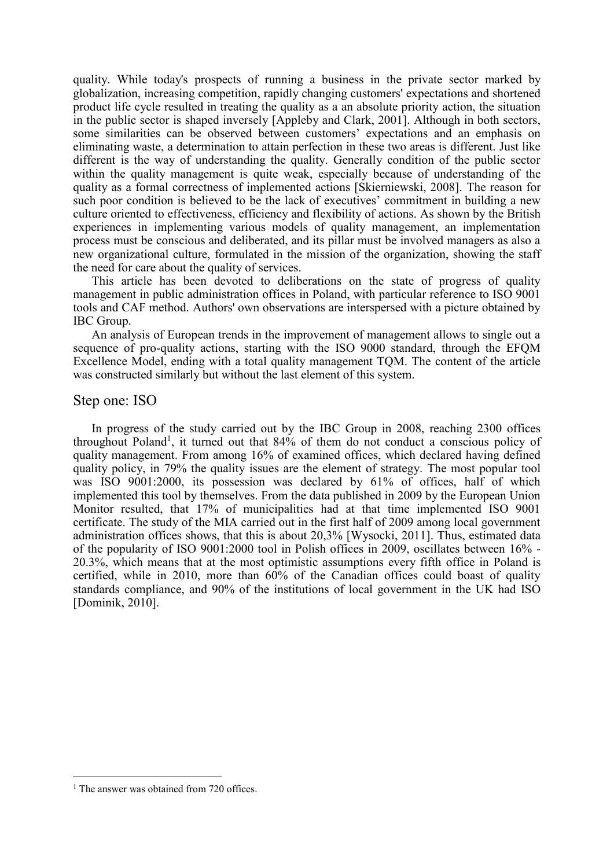quality. While today's prospects of running a business in the private sector marked by globalization, increasing competition, rapidly changing customers' expectations and shortened product life cycle resulted in treating the quality as a an absolute priority action, the situation in the public sector is shaped inversely [Appleby and Clark, 2001]. Although in both sectors, some similarities can be observed between customers' expectations and an emphasis on eliminating waste, a determination to attain perfection in these two areas is different. Just like different is the way of understanding the quality. Generally condition of the public sector within the quality management is quite weak, especially because of understanding of the quality as a formal correctness of implemented actions [Skierniewski, 2008]. The reason for such poor condition is believed to be the lack of executives' commitment in building a new culture oriented to effectiveness, efficiency and flexibility of actions. As shown by the British experiences in implementing various models of quality management, an implementation process must be conscious and deliberated, and its pillar must be involved managers as also a new organizational culture, formulated in the mission of the organization, showing the staff the need for care about the quality of services.

This article has been devoted to deliberations on the state of progress of quality management in public administration offices in Poland, with particular reference to ISO 9001 tools and CAF method. Authors' own observations are interspersed with a picture obtained by IBC Group.

An analysis of European trends in the improvement of management allows to single out a sequence of pro-quality actions, starting with the ISO 9000 standard, through the EFQM Excellence Model, ending with a total quality management TQM. The content of the article was constructed similarly but without the last element of this system.

#### Step one: ISO

In progress of the study carried out by the IBC Group in 2008, reaching 2300 offices throughout Poland<sup>1</sup>, it turned out that 84% of them do not conduct a conscious policy of quality management. From among 16% of examined offices, which declared having defined quality policy, in 79% the quality issues are the element of strategy. The most popular tool was ISO 9001:2000, its possession was declared by 61% of offices, half of which implemented this tool by themselves. From the data published in 2009 by the European Union Monitor resulted, that 17% of municipalities had at that time implemented ISO 9001 certificate. The study of the MIA carried out in the first half of 2009 among local government administration offices shows, that this is about 20,3% [Wysocki, 2011]. Thus, estimated data of the popularity of ISO 9001:2000 tool in Polish offices in 2009, oscillates between 16% - 20.3%, which means that at the most optimistic assumptions every fifth office in Poland is certified, while in 2010, more than 60% of the Canadian offices could boast of quality standards compliance, and 90% of the institutions of local government in the UK had ISO [Dominik, 2010].

 $\overline{a}$ 

<sup>&</sup>lt;sup>1</sup> The answer was obtained from 720 offices.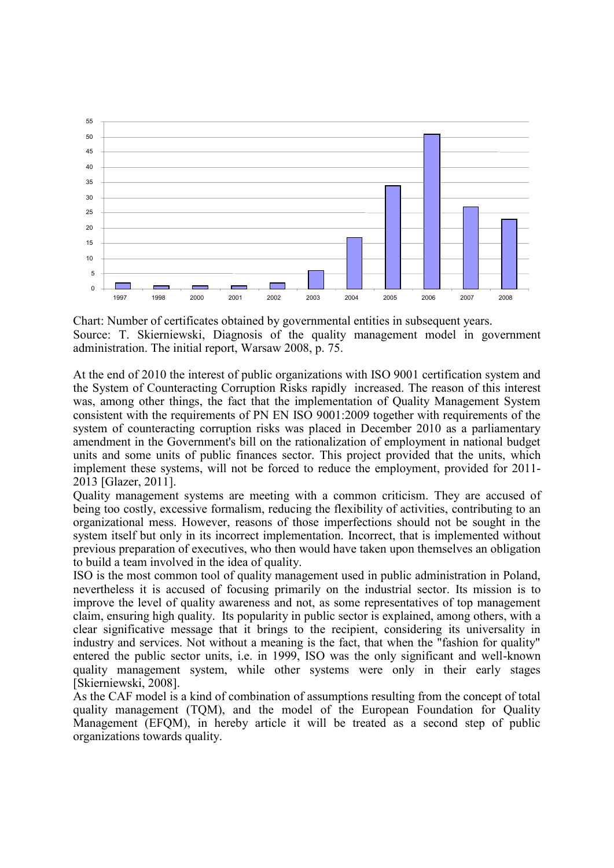

Chart: Number of certificates obtained by governmental entities in subsequent years. Source: T. Skierniewski, Diagnosis of the quality management model in government administration. The initial report, Warsaw 2008, p. 75.

At the end of 2010 the interest of public organizations with ISO 9001 certification system and the System of Counteracting Corruption Risks rapidly increased. The reason of this interest was, among other things, the fact that the implementation of Quality Management System consistent with the requirements of PN EN ISO 9001:2009 together with requirements of the system of counteracting corruption risks was placed in December 2010 as a parliamentary amendment in the Government's bill on the rationalization of employment in national budget units and some units of public finances sector. This project provided that the units, which implement these systems, will not be forced to reduce the employment, provided for 2011- 2013 [Glazer, 2011].

Quality management systems are meeting with a common criticism. They are accused of being too costly, excessive formalism, reducing the flexibility of activities, contributing to an organizational mess. However, reasons of those imperfections should not be sought in the system itself but only in its incorrect implementation. Incorrect, that is implemented without previous preparation of executives, who then would have taken upon themselves an obligation to build a team involved in the idea of quality.

ISO is the most common tool of quality management used in public administration in Poland, nevertheless it is accused of focusing primarily on the industrial sector. Its mission is to improve the level of quality awareness and not, as some representatives of top management claim, ensuring high quality. Its popularity in public sector is explained, among others, with a clear significative message that it brings to the recipient, considering its universality in industry and services. Not without a meaning is the fact, that when the "fashion for quality" entered the public sector units, i.e. in 1999, ISO was the only significant and well-known quality management system, while other systems were only in their early stages [Skierniewski, 2008].

As the CAF model is a kind of combination of assumptions resulting from the concept of total quality management (TQM), and the model of the European Foundation for Quality Management (EFQM), in hereby article it will be treated as a second step of public organizations towards quality.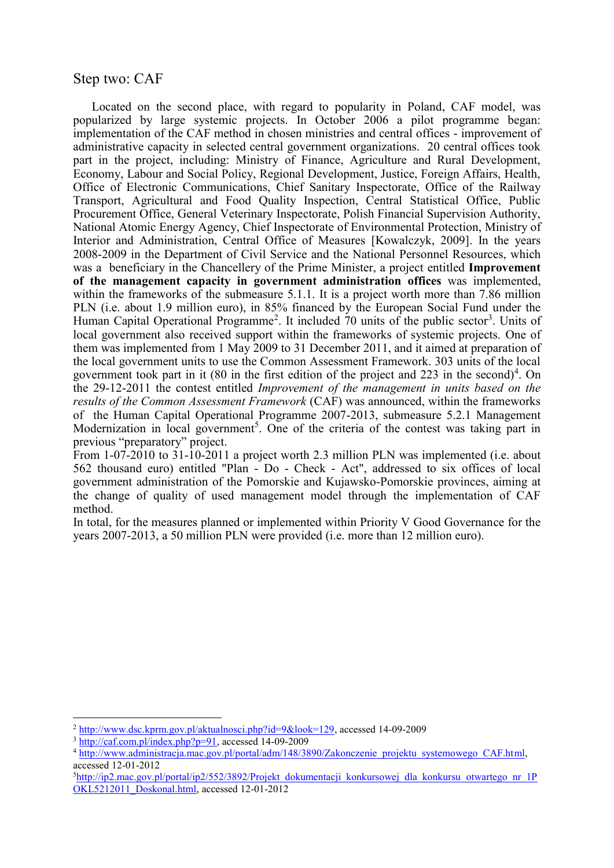### Step two: CAF

Located on the second place, with regard to popularity in Poland, CAF model, was popularized by large systemic projects. In October 2006 a pilot programme began: implementation of the CAF method in chosen ministries and central offices - improvement of administrative capacity in selected central government organizations. 20 central offices took part in the project, including: Ministry of Finance, Agriculture and Rural Development, Economy, Labour and Social Policy, Regional Development, Justice, Foreign Affairs, Health, Office of Electronic Communications, Chief Sanitary Inspectorate, Office of the Railway Transport, Agricultural and Food Quality Inspection, Central Statistical Office, Public Procurement Office, General Veterinary Inspectorate, Polish Financial Supervision Authority, National Atomic Energy Agency, Chief Inspectorate of Environmental Protection, Ministry of Interior and Administration, Central Office of Measures [Kowalczyk, 2009]. In the years 2008-2009 in the Department of Civil Service and the National Personnel Resources, which was a beneficiary in the Chancellery of the Prime Minister, a project entitled **Improvement of the management capacity in government administration offices** was implemented, within the frameworks of the submeasure 5.1.1. It is a project worth more than 7.86 million PLN (i.e. about 1.9 million euro), in 85% financed by the European Social Fund under the Human Capital Operational Programme<sup>2</sup>. It included 70 units of the public sector<sup>3</sup>. Units of local government also received support within the frameworks of systemic projects. One of them was implemented from 1 May 2009 to 31 December 2011, and it aimed at preparation of the local government units to use the Common Assessment Framework. 303 units of the local government took part in it (80 in the first edition of the project and 223 in the second)<sup>4</sup>. On the 29-12-2011 the contest entitled *Improvement of the management in units based on the results of the Common Assessment Framework* (CAF) was announced, within the frameworks of the Human Capital Operational Programme 2007-2013, submeasure 5.2.1 Management Modernization in local government<sup>5</sup>. One of the criteria of the contest was taking part in previous "preparatory" project.

From 1-07-2010 to 31-10-2011 a project worth 2.3 million PLN was implemented (i.e. about 562 thousand euro) entitled "Plan - Do - Check - Act", addressed to six offices of local government administration of the Pomorskie and Kujawsko-Pomorskie provinces, aiming at the change of quality of used management model through the implementation of CAF method.

In total, for the measures planned or implemented within Priority V Good Governance for the years 2007-2013, a 50 million PLN were provided (i.e. more than 12 million euro).

 $\overline{a}$ 

<sup>2</sup> [http://www.dsc.kprm.gov.pl/aktualnosci.php?id=9&look=129,](http://www.dsc.kprm.gov.pl/aktualnosci.php?id=9&look=129) accessed 14-09-2009

 $3 \frac{\text{http://caf.com.pl/index.php?p=91}}{\text{http://caf.com.pl/index.php?p=91}}$ , accessed 14-09-2009

<sup>4</sup> http://www.administracia.mac.gov.pl/portal/adm/148/3890/Zakonczenie projektu systemowego CAF.html, accessed 12-01-2012

<sup>&</sup>lt;sup>5</sup>[http://ip2.mac.gov.pl/portal/ip2/552/3892/Projekt\\_dokumentacji\\_konkursowej\\_dla\\_konkursu\\_otwartego\\_nr\\_1P](http://ip2.mac.gov.pl/portal/ip2/552/3892/Projekt_dokumentacji_konkursowej_dla_konkursu_otwartego_nr_1POKL5212011_Doskonal.html) [OKL5212011\\_Doskonal.html,](http://ip2.mac.gov.pl/portal/ip2/552/3892/Projekt_dokumentacji_konkursowej_dla_konkursu_otwartego_nr_1POKL5212011_Doskonal.html) accessed 12-01-2012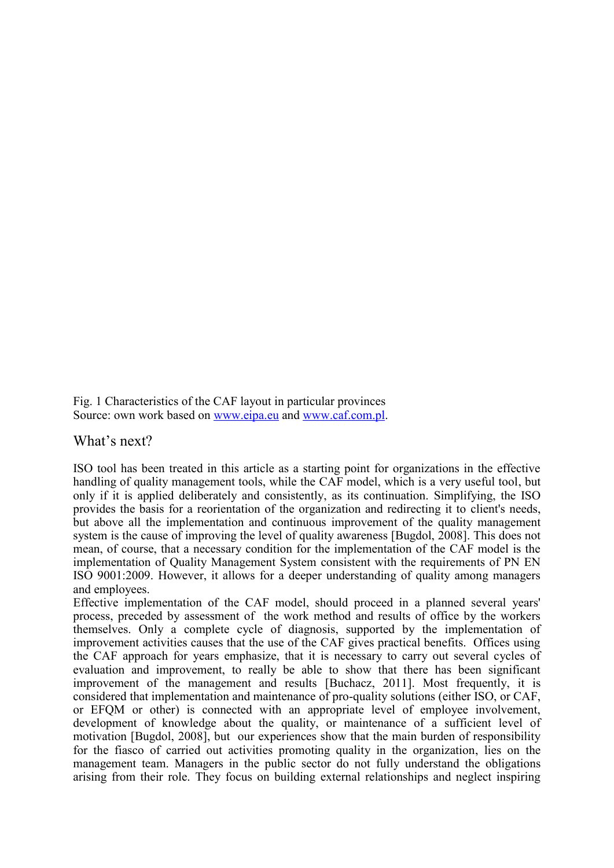Fig. 1 Characteristics of the CAF layout in particular provinces Source: own work based on [www.eipa.eu](http://www.eipa.eu/) and [www.caf.com.pl.](http://www.caf.com.pl/)

What's next?

ISO tool has been treated in this article as a starting point for organizations in the effective handling of quality management tools, while the CAF model, which is a very useful tool, but only if it is applied deliberately and consistently, as its continuation. Simplifying, the ISO provides the basis for a reorientation of the organization and redirecting it to client's needs, but above all the implementation and continuous improvement of the quality management system is the cause of improving the level of quality awareness [Bugdol, 2008]. This does not mean, of course, that a necessary condition for the implementation of the CAF model is the implementation of Quality Management System consistent with the requirements of PN EN ISO 9001:2009. However, it allows for a deeper understanding of quality among managers and employees.

Effective implementation of the CAF model, should proceed in a planned several years' process, preceded by assessment of the work method and results of office by the workers themselves. Only a complete cycle of diagnosis, supported by the implementation of improvement activities causes that the use of the CAF gives practical benefits. Offices using the CAF approach for years emphasize, that it is necessary to carry out several cycles of evaluation and improvement, to really be able to show that there has been significant improvement of the management and results [Buchacz, 2011]. Most frequently, it is considered that implementation and maintenance of pro-quality solutions (either ISO, or CAF, or EFQM or other) is connected with an appropriate level of employee involvement, development of knowledge about the quality, or maintenance of a sufficient level of motivation [Bugdol, 2008], but our experiences show that the main burden of responsibility for the fiasco of carried out activities promoting quality in the organization, lies on the management team. Managers in the public sector do not fully understand the obligations arising from their role. They focus on building external relationships and neglect inspiring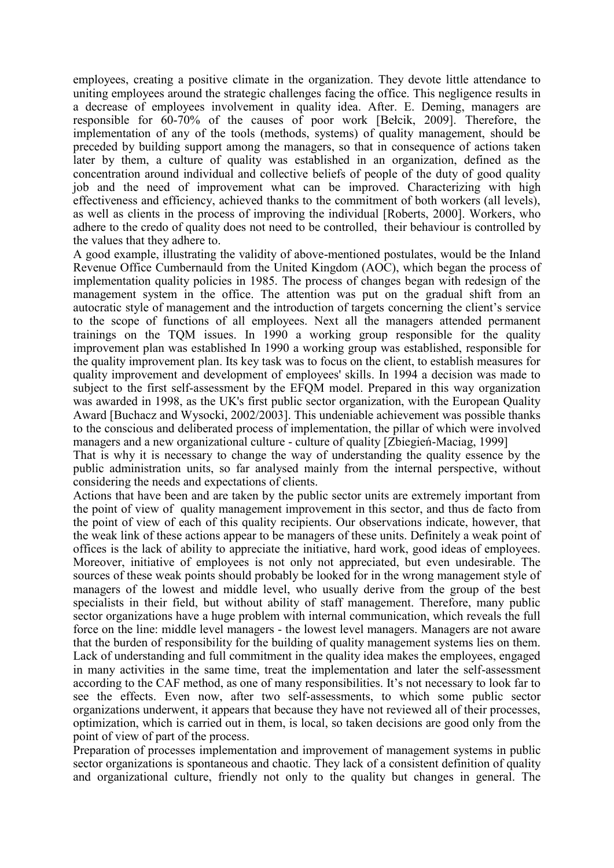employees, creating a positive climate in the organization. They devote little attendance to uniting employees around the strategic challenges facing the office. This negligence results in a decrease of employees involvement in quality idea. After. E. Deming, managers are responsible for 60-70% of the causes of poor work [Bełcik, 2009]. Therefore, the implementation of any of the tools (methods, systems) of quality management, should be preceded by building support among the managers, so that in consequence of actions taken later by them, a culture of quality was established in an organization, defined as the concentration around individual and collective beliefs of people of the duty of good quality job and the need of improvement what can be improved. Characterizing with high effectiveness and efficiency, achieved thanks to the commitment of both workers (all levels), as well as clients in the process of improving the individual [Roberts, 2000]. Workers, who adhere to the credo of quality does not need to be controlled, their behaviour is controlled by the values that they adhere to.

A good example, illustrating the validity of above-mentioned postulates, would be the Inland Revenue Office Cumbernauld from the United Kingdom (AOC), which began the process of implementation quality policies in 1985. The process of changes began with redesign of the management system in the office. The attention was put on the gradual shift from an autocratic style of management and the introduction of targets concerning the client's service to the scope of functions of all employees. Next all the managers attended permanent trainings on the TQM issues. In 1990 a working group responsible for the quality improvement plan was established In 1990 a working group was established, responsible for the quality improvement plan. Its key task was to focus on the client, to establish measures for quality improvement and development of employees' skills. In 1994 a decision was made to subject to the first self-assessment by the EFQM model. Prepared in this way organization was awarded in 1998, as the UK's first public sector organization, with the European Quality Award [Buchacz and Wysocki, 2002/2003]. This undeniable achievement was possible thanks to the conscious and deliberated process of implementation, the pillar of which were involved managers and a new organizational culture - culture of quality [Zbiegień-Maciag, 1999]

That is why it is necessary to change the way of understanding the quality essence by the public administration units, so far analysed mainly from the internal perspective, without considering the needs and expectations of clients.

Actions that have been and are taken by the public sector units are extremely important from the point of view of quality management improvement in this sector, and thus de facto from the point of view of each of this quality recipients. Our observations indicate, however, that the weak link of these actions appear to be managers of these units. Definitely a weak point of offices is the lack of ability to appreciate the initiative, hard work, good ideas of employees. Moreover, initiative of employees is not only not appreciated, but even undesirable. The sources of these weak points should probably be looked for in the wrong management style of managers of the lowest and middle level, who usually derive from the group of the best specialists in their field, but without ability of staff management. Therefore, many public sector organizations have a huge problem with internal communication, which reveals the full force on the line: middle level managers - the lowest level managers. Managers are not aware that the burden of responsibility for the building of quality management systems lies on them. Lack of understanding and full commitment in the quality idea makes the employees, engaged in many activities in the same time, treat the implementation and later the self-assessment according to the CAF method, as one of many responsibilities. It's not necessary to look far to see the effects. Even now, after two self-assessments, to which some public sector organizations underwent, it appears that because they have not reviewed all of their processes, optimization, which is carried out in them, is local, so taken decisions are good only from the point of view of part of the process.

Preparation of processes implementation and improvement of management systems in public sector organizations is spontaneous and chaotic. They lack of a consistent definition of quality and organizational culture, friendly not only to the quality but changes in general. The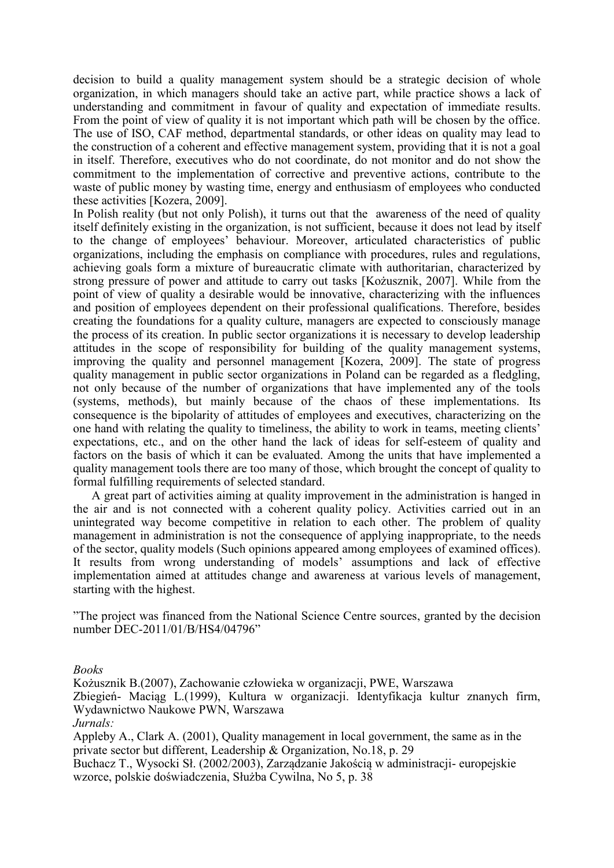decision to build a quality management system should be a strategic decision of whole organization, in which managers should take an active part, while practice shows a lack of understanding and commitment in favour of quality and expectation of immediate results. From the point of view of quality it is not important which path will be chosen by the office. The use of ISO, CAF method, departmental standards, or other ideas on quality may lead to the construction of a coherent and effective management system, providing that it is not a goal in itself. Therefore, executives who do not coordinate, do not monitor and do not show the commitment to the implementation of corrective and preventive actions, contribute to the waste of public money by wasting time, energy and enthusiasm of employees who conducted these activities [Kozera, 2009].

In Polish reality (but not only Polish), it turns out that the awareness of the need of quality itself definitely existing in the organization, is not sufficient, because it does not lead by itself to the change of employees' behaviour. Moreover, articulated characteristics of public organizations, including the emphasis on compliance with procedures, rules and regulations, achieving goals form a mixture of bureaucratic climate with authoritarian, characterized by strong pressure of power and attitude to carry out tasks [Kożusznik, 2007]. While from the point of view of quality a desirable would be innovative, characterizing with the influences and position of employees dependent on their professional qualifications. Therefore, besides creating the foundations for a quality culture, managers are expected to consciously manage the process of its creation. In public sector organizations it is necessary to develop leadership attitudes in the scope of responsibility for building of the quality management systems, improving the quality and personnel management [Kozera, 2009]. The state of progress quality management in public sector organizations in Poland can be regarded as a fledgling, not only because of the number of organizations that have implemented any of the tools (systems, methods), but mainly because of the chaos of these implementations. Its consequence is the bipolarity of attitudes of employees and executives, characterizing on the one hand with relating the quality to timeliness, the ability to work in teams, meeting clients' expectations, etc., and on the other hand the lack of ideas for self-esteem of quality and factors on the basis of which it can be evaluated. Among the units that have implemented a quality management tools there are too many of those, which brought the concept of quality to formal fulfilling requirements of selected standard.

A great part of activities aiming at quality improvement in the administration is hanged in the air and is not connected with a coherent quality policy. Activities carried out in an unintegrated way become competitive in relation to each other. The problem of quality management in administration is not the consequence of applying inappropriate, to the needs of the sector, quality models (Such opinions appeared among employees of examined offices). It results from wrong understanding of models' assumptions and lack of effective implementation aimed at attitudes change and awareness at various levels of management, starting with the highest.

"The project was financed from the National Science Centre sources, granted by the decision number DEC-2011/01/B/HS4/04796"

*Books*

Kożusznik B.(2007), Zachowanie człowieka w organizacji, PWE, Warszawa Zbiegień- Maciąg L.(1999), Kultura w organizacji. Identyfikacja kultur znanych firm, Wydawnictwo Naukowe PWN, Warszawa *Jurnals:*

Appleby A., Clark A. (2001), Quality management in local government, the same as in the private sector but different, Leadership & Organization, No.18, p. 29

Buchacz T., Wysocki Sł. (2002/2003), Zarządzanie Jakością w administracji- europejskie wzorce, polskie doświadczenia, Służba Cywilna, No 5, p. 38